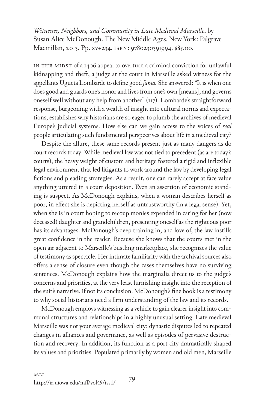*Witnesses, Neighbors, and Community in Late Medieval Marseille*, by Susan Alice McDonough. The New Middle Ages. New York: Palgrave Macmillan, 2013. Pp. xv+234. isbn: 9780230391994. \$85.00.

IN THE MIDST of a 1406 appeal to overturn a criminal conviction for unlawful kidnapping and theft, a judge at the court in Marseille asked witness for the appellants Ugueta Lombarde to define good *fama.* She answered: "It is when one does good and guards one's honor and lives from one's own [means], and governs oneself well without any help from another" (117). Lombarde's straightforward response, burgeoning with a wealth of insight into cultural norms and expectations, establishes why historians are so eager to plumb the archives of medieval Europe's judicial systems. How else can we gain access to the voices of *real*  people articulating such fundamental perspectives about life in a medieval city?

Despite the allure, these same records present just as many dangers as do court records today. While medieval law was not tied to precedent (as are today's courts), the heavy weight of custom and heritage fostered a rigid and inflexible legal environment that led litigants to work around the law by developing legal fictions and pleading strategies. As a result, one can rarely accept at face value anything uttered in a court deposition. Even an assertion of economic standing is suspect. As McDonough explains, when a woman describes herself as poor, in effect she is depicting herself as untrustworthy (in a legal sense). Yet, when she is in court hoping to recoup monies expended in caring for her (now deceased) daughter and grandchildren, presenting oneself as the righteous poor has its advantages. McDonough's deep training in, and love of, the law instills great confidence in the reader. Because she knows that the courts met in the open air adjacent to Marseille's bustling marketplace, she recognizes the value of testimony as spectacle. Her intimate familiarity with the archival sources also offers a sense of closure even though the cases themselves have no surviving sentences. McDonough explains how the marginalia direct us to the judge's concerns and priorities, at the very least furnishing insight into the reception of the suit's narrative, if not its conclusion. McDonough's fine book is a testimony to why social historians need a firm understanding of the law and its records.

McDonough employs witnessing as a vehicle to gain clearer insight into communal structures and relationships in a highly unusual setting. Late medieval Marseille was not your average medieval city: dynastic disputes led to repeated changes in alliances and governance, as well as episodes of pervasive destruction and recovery. In addition, its function as a port city dramatically shaped its values and priorities. Populated primarily by women and old men, Marseille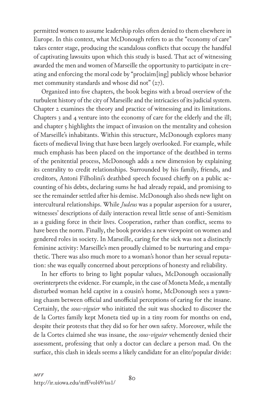permitted women to assume leadership roles often denied to them elsewhere in Europe. In this context, what McDonough refers to as the "economy of care" takes center stage, producing the scandalous conflicts that occupy the handful of captivating lawsuits upon which this study is based. That act of witnessing awarded the men and women of Marseille the opportunity to participate in creating and enforcing the moral code by "proclaim[ing] publicly whose behavior met community standards and whose did not" (27).

Organized into five chapters, the book begins with a broad overview of the turbulent history of the city of Marseille and the intricacies of its judicial system. Chapter 2 examines the theory and practice of witnessing and its limitations. Chapters 3 and 4 venture into the economy of care for the elderly and the ill; and chapter 5 highlights the impact of invasion on the mentality and cohesion of Marseille's inhabitants. Within this structure, McDonough explores many facets of medieval living that have been largely overlooked. For example, while much emphasis has been placed on the importance of the deathbed in terms of the penitential process, McDonough adds a new dimension by explaining its centrality to credit relationships. Surrounded by his family, friends, and creditors, Antoni Filholini's deathbed speech focused chiefly on a public accounting of his debts, declaring sums he had already repaid, and promising to see the remainder settled after his demise. McDonough also sheds new light on intercultural relationships. While *Judeus* was a popular aspersion for a usurer, witnesses' descriptions of daily interaction reveal little sense of anti-Semitism as a guiding force in their lives. Cooperation, rather than conflict, seems to have been the norm. Finally, the book provides a new viewpoint on women and gendered roles in society. In Marseille, caring for the sick was not a distinctly feminine activity: Marseille's men proudly claimed to be nurturing and empathetic. There was also much more to a woman's honor than her sexual reputation: she was equally concerned about perceptions of honesty and reliability.

In her efforts to bring to light popular values, McDonough occasionally overinterprets the evidence. For example, in the case of Moneta Mede, a mentally disturbed woman held captive in a cousin's home, McDonough sees a yawning chasm between official and unofficial perceptions of caring for the insane. Certainly, the *sous-viguier* who initiated the suit was shocked to discover the de la Cortes family kept Moneta tied up in a tiny room for months on end, despite their protests that they did so for her own safety. Moreover, while the de la Cortes claimed she was insane, the *sous-viguier* vehemently denied their assessment, professing that only a doctor can declare a person mad. On the surface, this clash in ideals seems a likely candidate for an elite/popular divide: